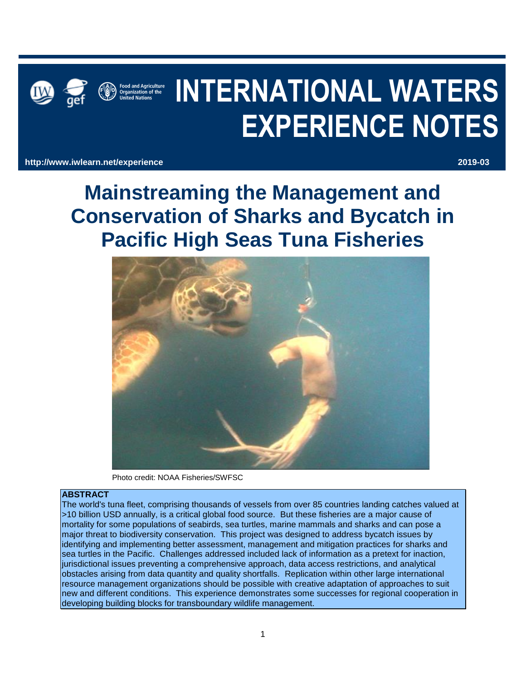



# **INTERNATIONAL WATERS EXPERIENCE NOTES**

**http://www.iwlearn.net/experience 2019-03**

**Mainstreaming the Management and Conservation of Sharks and Bycatch in Pacific High Seas Tuna Fisheries** 



Photo credit: NOAA Fisheries/SWFSC

## **ABSTRACT**

The world's tuna fleet, comprising thousands of vessels from over 85 countries landing catches valued at >10 billion USD annually, is a critical global food source. But these fisheries are a major cause of mortality for some populations of seabirds, sea turtles, marine mammals and sharks and can pose a major threat to biodiversity conservation. This project was designed to address bycatch issues by identifying and implementing better assessment, management and mitigation practices for sharks and sea turtles in the Pacific. Challenges addressed included lack of information as a pretext for inaction, jurisdictional issues preventing a comprehensive approach, data access restrictions, and analytical obstacles arising from data quantity and quality shortfalls. Replication within other large international resource management organizations should be possible with creative adaptation of approaches to suit new and different conditions. This experience demonstrates some successes for regional cooperation in developing building blocks for transboundary wildlife management.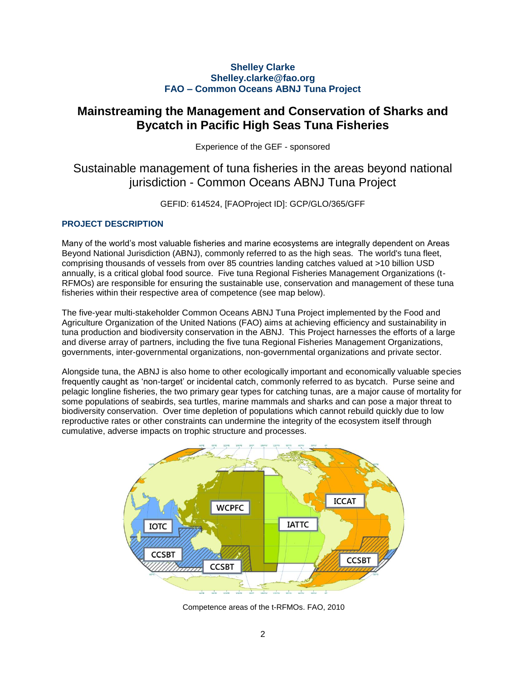# **Shelley Clarke Shelley.clarke@fao.org FAO – Common Oceans ABNJ Tuna Project**

# **Mainstreaming the Management and Conservation of Sharks and Bycatch in Pacific High Seas Tuna Fisheries**

Experience of the GEF - sponsored

# Sustainable management of tuna fisheries in the areas beyond national jurisdiction - Common Oceans ABNJ Tuna Project

GEFID: 614524, [FAOProject ID]: GCP/GLO/365/GFF

# **PROJECT DESCRIPTION**

Many of the world's most valuable fisheries and marine ecosystems are integrally dependent on Areas Beyond National Jurisdiction (ABNJ), commonly referred to as the high seas. The world's tuna fleet, comprising thousands of vessels from over 85 countries landing catches valued at >10 billion USD annually, is a critical global food source. Five tuna Regional Fisheries Management Organizations (t-RFMOs) are responsible for ensuring the sustainable use, conservation and management of these tuna fisheries within their respective area of competence (see map below).

The five-year multi-stakeholder Common Oceans ABNJ Tuna Project implemented by the Food and Agriculture Organization of the United Nations (FAO) aims at achieving efficiency and sustainability in tuna production and biodiversity conservation in the ABNJ. This Project harnesses the efforts of a large and diverse array of partners, including the five tuna Regional Fisheries Management Organizations, governments, inter-governmental organizations, non-governmental organizations and private sector.

Alongside tuna, the ABNJ is also home to other ecologically important and economically valuable species frequently caught as 'non-target' or incidental catch, commonly referred to as bycatch. Purse seine and pelagic longline fisheries, the two primary gear types for catching tunas, are a major cause of mortality for some populations of seabirds, sea turtles, marine mammals and sharks and can pose a major threat to biodiversity conservation. Over time depletion of populations which cannot rebuild quickly due to low reproductive rates or other constraints can undermine the integrity of the ecosystem itself through cumulative, adverse impacts on trophic structure and processes.



Competence areas of the t-RFMOs. FAO, 2010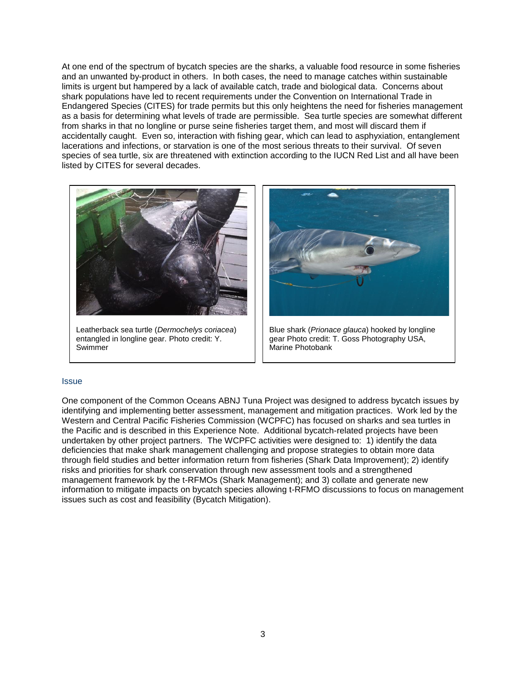At one end of the spectrum of bycatch species are the sharks, a valuable food resource in some fisheries and an unwanted by-product in others. In both cases, the need to manage catches within sustainable limits is urgent but hampered by a lack of available catch, trade and biological data. Concerns about shark populations have led to recent requirements under the Convention on International Trade in Endangered Species (CITES) for trade permits but this only heightens the need for fisheries management as a basis for determining what levels of trade are permissible. Sea turtle species are somewhat different from sharks in that no longline or purse seine fisheries target them, and most will discard them if accidentally caught. Even so, interaction with fishing gear, which can lead to asphyxiation, entanglement lacerations and infections, or starvation is one of the most serious threats to their survival. Of seven species of sea turtle, six are threatened with extinction according to the IUCN Red List and all have been listed by CITES for several decades.



Leatherback sea turtle (*Dermochelys coriacea*) entangled in longline gear. Photo credit: Y. Swimmer



Blue shark (*Prionace glauca*) hooked by longline gear Photo credit: T. Goss Photography USA, Marine Photobank

#### **Issue**

One component of the Common Oceans ABNJ Tuna Project was designed to address bycatch issues by identifying and implementing better assessment, management and mitigation practices. Work led by the Western and Central Pacific Fisheries Commission (WCPFC) has focused on sharks and sea turtles in the Pacific and is described in this Experience Note. Additional bycatch-related projects have been undertaken by other project partners. The WCPFC activities were designed to: 1) identify the data deficiencies that make shark management challenging and propose strategies to obtain more data through field studies and better information return from fisheries (Shark Data Improvement); 2) identify risks and priorities for shark conservation through new assessment tools and a strengthened management framework by the t-RFMOs (Shark Management); and 3) collate and generate new information to mitigate impacts on bycatch species allowing t-RFMO discussions to focus on management issues such as cost and feasibility (Bycatch Mitigation).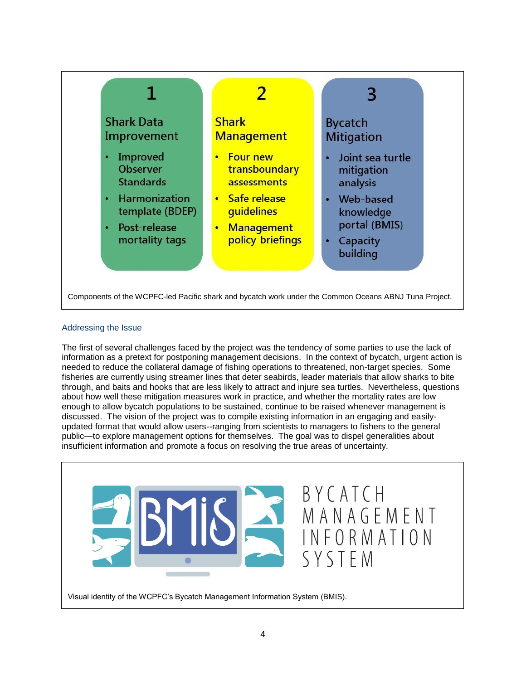

# Addressing the Issue

The first of several challenges faced by the project was the tendency of some parties to use the lack of information as a pretext for postponing management decisions. In the context of bycatch, urgent action is needed to reduce the collateral damage of fishing operations to threatened, non-target species. Some fisheries are currently using streamer lines that deter seabirds, leader materials that allow sharks to bite through, and baits and hooks that are less likely to attract and injure sea turtles. Nevertheless, questions about how well these mitigation measures work in practice, and whether the mortality rates are low enough to allow bycatch populations to be sustained, continue to be raised whenever management is discussed. The vision of the project was to compile existing information in an engaging and easilyupdated format that would allow users--ranging from scientists to managers to fishers to the general public—to explore management options for themselves. The goal was to dispel generalities about insufficient information and promote a focus on resolving the true areas of uncertainty.

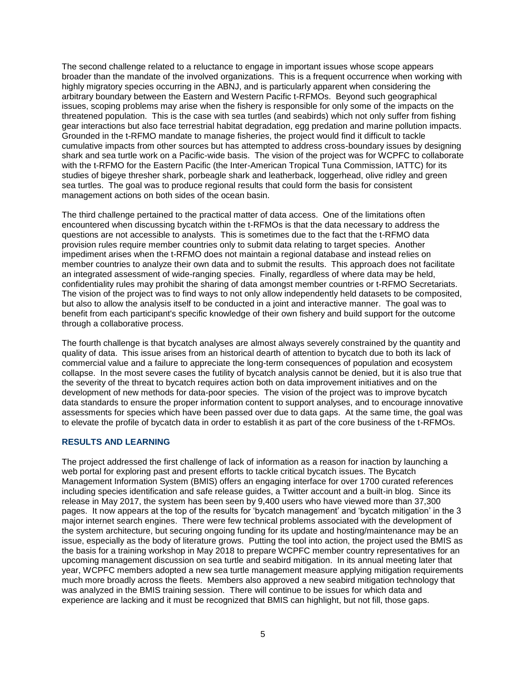The second challenge related to a reluctance to engage in important issues whose scope appears broader than the mandate of the involved organizations. This is a frequent occurrence when working with highly migratory species occurring in the ABNJ, and is particularly apparent when considering the arbitrary boundary between the Eastern and Western Pacific t-RFMOs. Beyond such geographical issues, scoping problems may arise when the fishery is responsible for only some of the impacts on the threatened population. This is the case with sea turtles (and seabirds) which not only suffer from fishing gear interactions but also face terrestrial habitat degradation, egg predation and marine pollution impacts. Grounded in the t-RFMO mandate to manage fisheries, the project would find it difficult to tackle cumulative impacts from other sources but has attempted to address cross-boundary issues by designing shark and sea turtle work on a Pacific-wide basis. The vision of the project was for WCPFC to collaborate with the t-RFMO for the Eastern Pacific (the Inter-American Tropical Tuna Commission, IATTC) for its studies of bigeye thresher shark, porbeagle shark and leatherback, loggerhead, olive ridley and green sea turtles. The goal was to produce regional results that could form the basis for consistent management actions on both sides of the ocean basin.

The third challenge pertained to the practical matter of data access. One of the limitations often encountered when discussing bycatch within the t-RFMOs is that the data necessary to address the questions are not accessible to analysts. This is sometimes due to the fact that the t-RFMO data provision rules require member countries only to submit data relating to target species. Another impediment arises when the t-RFMO does not maintain a regional database and instead relies on member countries to analyze their own data and to submit the results. This approach does not facilitate an integrated assessment of wide-ranging species. Finally, regardless of where data may be held, confidentiality rules may prohibit the sharing of data amongst member countries or t-RFMO Secretariats. The vision of the project was to find ways to not only allow independently held datasets to be composited, but also to allow the analysis itself to be conducted in a joint and interactive manner. The goal was to benefit from each participant's specific knowledge of their own fishery and build support for the outcome through a collaborative process.

The fourth challenge is that bycatch analyses are almost always severely constrained by the quantity and quality of data. This issue arises from an historical dearth of attention to bycatch due to both its lack of commercial value and a failure to appreciate the long-term consequences of population and ecosystem collapse. In the most severe cases the futility of bycatch analysis cannot be denied, but it is also true that the severity of the threat to bycatch requires action both on data improvement initiatives and on the development of new methods for data-poor species. The vision of the project was to improve bycatch data standards to ensure the proper information content to support analyses, and to encourage innovative assessments for species which have been passed over due to data gaps. At the same time, the goal was to elevate the profile of bycatch data in order to establish it as part of the core business of the t-RFMOs.

## **RESULTS AND LEARNING**

The project addressed the first challenge of lack of information as a reason for inaction by launching a web portal for exploring past and present efforts to tackle critical bycatch issues. The Bycatch Management Information System (BMIS) offers an engaging interface for over 1700 curated references including species identification and safe release guides, a Twitter account and a built-in blog. Since its release in May 2017, the system has been seen by 9,400 users who have viewed more than 37,300 pages. It now appears at the top of the results for 'bycatch management' and 'bycatch mitigation' in the 3 major internet search engines. There were few technical problems associated with the development of the system architecture, but securing ongoing funding for its update and hosting/maintenance may be an issue, especially as the body of literature grows. Putting the tool into action, the project used the BMIS as the basis for a training workshop in May 2018 to prepare WCPFC member country representatives for an upcoming management discussion on sea turtle and seabird mitigation. In its annual meeting later that year, WCPFC members adopted a new sea turtle management measure applying mitigation requirements much more broadly across the fleets. Members also approved a new seabird mitigation technology that was analyzed in the BMIS training session. There will continue to be issues for which data and experience are lacking and it must be recognized that BMIS can highlight, but not fill, those gaps.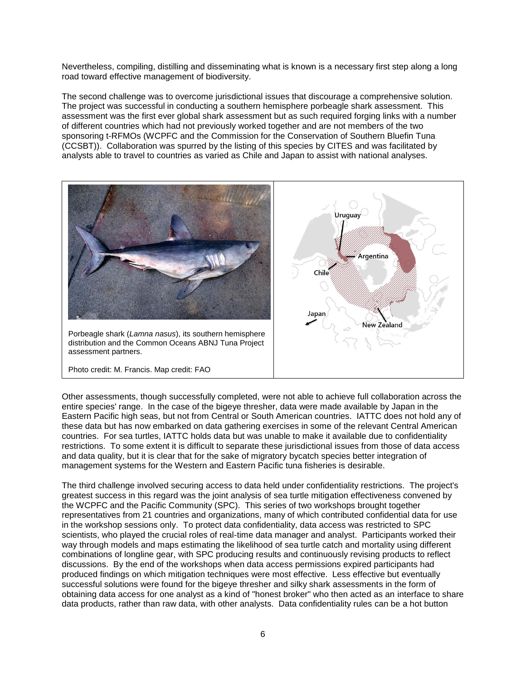Nevertheless, compiling, distilling and disseminating what is known is a necessary first step along a long road toward effective management of biodiversity.

The second challenge was to overcome jurisdictional issues that discourage a comprehensive solution. The project was successful in conducting a southern hemisphere porbeagle shark assessment. This assessment was the first ever global shark assessment but as such required forging links with a number of different countries which had not previously worked together and are not members of the two sponsoring t-RFMOs (WCPFC and the Commission for the Conservation of Southern Bluefin Tuna (CCSBT)). Collaboration was spurred by the listing of this species by CITES and was facilitated by analysts able to travel to countries as varied as Chile and Japan to assist with national analyses.



Other assessments, though successfully completed, were not able to achieve full collaboration across the entire species' range. In the case of the bigeye thresher, data were made available by Japan in the Eastern Pacific high seas, but not from Central or South American countries. IATTC does not hold any of these data but has now embarked on data gathering exercises in some of the relevant Central American countries. For sea turtles, IATTC holds data but was unable to make it available due to confidentiality restrictions. To some extent it is difficult to separate these jurisdictional issues from those of data access and data quality, but it is clear that for the sake of migratory bycatch species better integration of management systems for the Western and Eastern Pacific tuna fisheries is desirable.

The third challenge involved securing access to data held under confidentiality restrictions. The project's greatest success in this regard was the joint analysis of sea turtle mitigation effectiveness convened by the WCPFC and the Pacific Community (SPC). This series of two workshops brought together representatives from 21 countries and organizations, many of which contributed confidential data for use in the workshop sessions only. To protect data confidentiality, data access was restricted to SPC scientists, who played the crucial roles of real-time data manager and analyst. Participants worked their way through models and maps estimating the likelihood of sea turtle catch and mortality using different combinations of longline gear, with SPC producing results and continuously revising products to reflect discussions. By the end of the workshops when data access permissions expired participants had produced findings on which mitigation techniques were most effective. Less effective but eventually successful solutions were found for the bigeye thresher and silky shark assessments in the form of obtaining data access for one analyst as a kind of "honest broker" who then acted as an interface to share data products, rather than raw data, with other analysts. Data confidentiality rules can be a hot button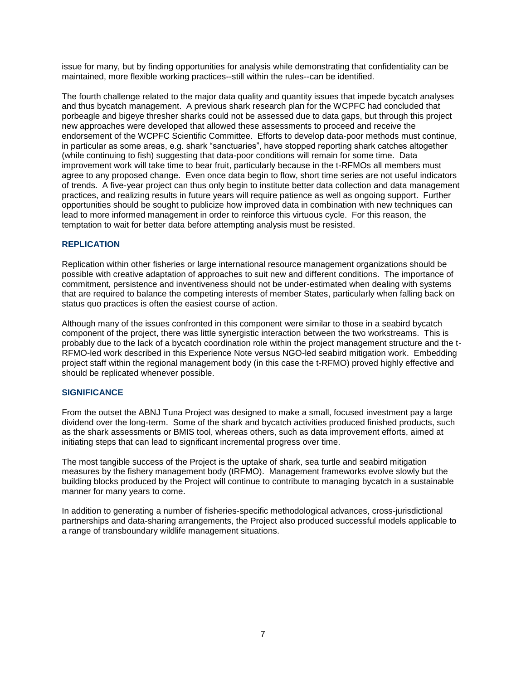issue for many, but by finding opportunities for analysis while demonstrating that confidentiality can be maintained, more flexible working practices--still within the rules--can be identified.

The fourth challenge related to the major data quality and quantity issues that impede bycatch analyses and thus bycatch management. A previous shark research plan for the WCPFC had concluded that porbeagle and bigeye thresher sharks could not be assessed due to data gaps, but through this project new approaches were developed that allowed these assessments to proceed and receive the endorsement of the WCPFC Scientific Committee. Efforts to develop data-poor methods must continue, in particular as some areas, e.g. shark "sanctuaries", have stopped reporting shark catches altogether (while continuing to fish) suggesting that data-poor conditions will remain for some time. Data improvement work will take time to bear fruit, particularly because in the t-RFMOs all members must agree to any proposed change. Even once data begin to flow, short time series are not useful indicators of trends. A five-year project can thus only begin to institute better data collection and data management practices, and realizing results in future years will require patience as well as ongoing support. Further opportunities should be sought to publicize how improved data in combination with new techniques can lead to more informed management in order to reinforce this virtuous cycle. For this reason, the temptation to wait for better data before attempting analysis must be resisted.

## **REPLICATION**

Replication within other fisheries or large international resource management organizations should be possible with creative adaptation of approaches to suit new and different conditions. The importance of commitment, persistence and inventiveness should not be under-estimated when dealing with systems that are required to balance the competing interests of member States, particularly when falling back on status quo practices is often the easiest course of action.

Although many of the issues confronted in this component were similar to those in a seabird bycatch component of the project, there was little synergistic interaction between the two workstreams. This is probably due to the lack of a bycatch coordination role within the project management structure and the t-RFMO-led work described in this Experience Note versus NGO-led seabird mitigation work. Embedding project staff within the regional management body (in this case the t-RFMO) proved highly effective and should be replicated whenever possible.

## **SIGNIFICANCE**

From the outset the ABNJ Tuna Project was designed to make a small, focused investment pay a large dividend over the long-term. Some of the shark and bycatch activities produced finished products, such as the shark assessments or BMIS tool, whereas others, such as data improvement efforts, aimed at initiating steps that can lead to significant incremental progress over time.

The most tangible success of the Project is the uptake of shark, sea turtle and seabird mitigation measures by the fishery management body (tRFMO). Management frameworks evolve slowly but the building blocks produced by the Project will continue to contribute to managing bycatch in a sustainable manner for many years to come.

In addition to generating a number of fisheries-specific methodological advances, cross-jurisdictional partnerships and data-sharing arrangements, the Project also produced successful models applicable to a range of transboundary wildlife management situations.